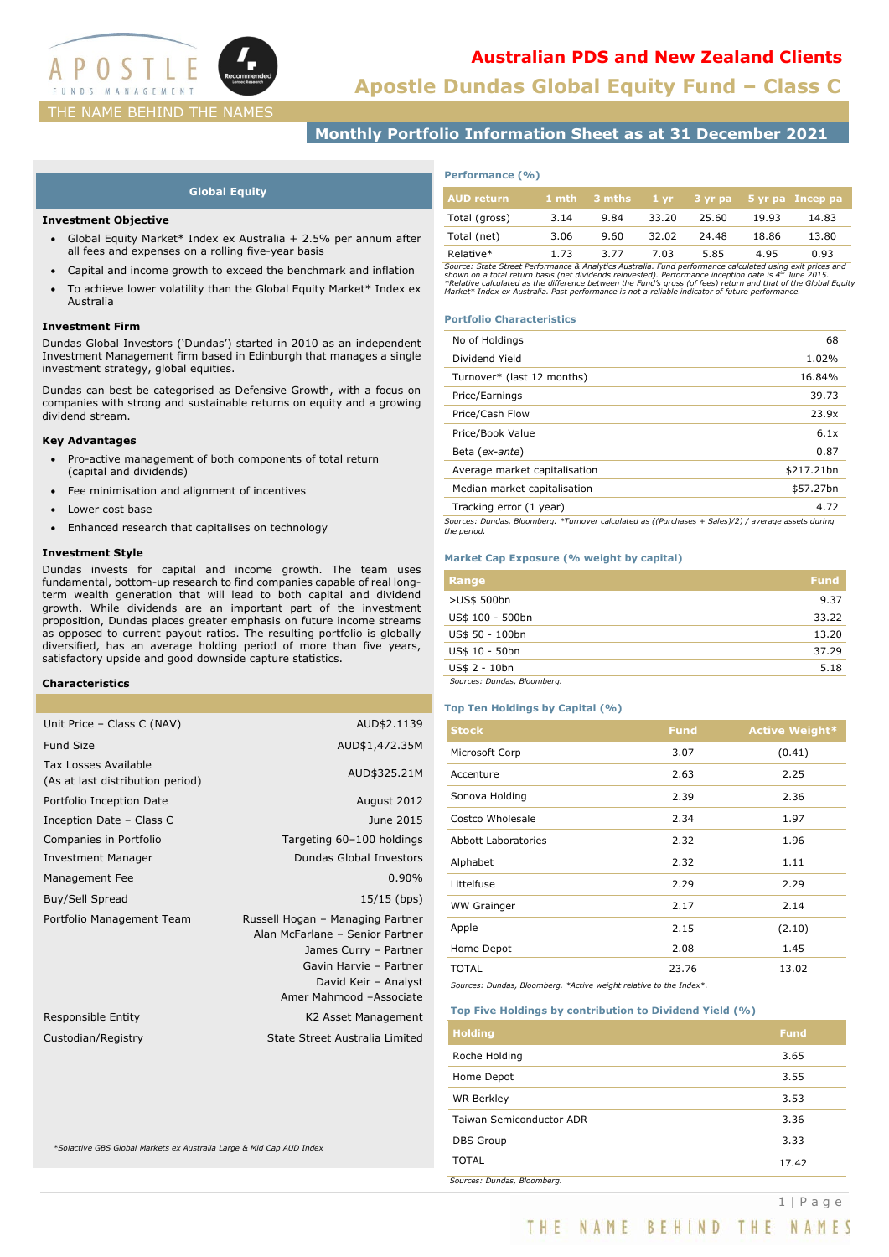

# **Australian PDS and New Zealand Clients**

**Apostle Dundas Global Equity Fund – Class C**

## **Monthly Portfolio Information Sheet as at 31 December 2021**

### **Global Equity**

### **Investment Objective**

- Global Equity Market\* Index ex Australia + 2.5% per annum after all fees and expenses on a rolling five-year basis
- Capital and income growth to exceed the benchmark and inflation
- To achieve lower volatility than the Global Equity Market\* Index ex Australia

### **Investment Firm**

Dundas Global Investors ('Dundas') started in 2010 as an independent Investment Management firm based in Edinburgh that manages a single investment strategy, global equities.

Dundas can best be categorised as Defensive Growth, with a focus on companies with strong and sustainable returns on equity and a growing dividend stream.

### **Key Advantages**

- Pro-active management of both components of total return (capital and dividends)
- Fee minimisation and alignment of incentives
- Lower cost base
- Enhanced research that capitalises on technology

### **Investment Style**

Dundas invests for capital and income growth. The team uses fundamental, bottom-up research to find companies capable of real longterm wealth generation that will lead to both capital and dividend growth. While dividends are an important part of the investment proposition, Dundas places greater emphasis on future income streams as opposed to current payout ratios. The resulting portfolio is globally diversified, has an average holding period of more than five years, satisfactory upside and good downside capture statistics.

### **Characteristics**

| Unit Price - Class C (NAV)                               | AUD\$2.1139                                                                                                                                                               |
|----------------------------------------------------------|---------------------------------------------------------------------------------------------------------------------------------------------------------------------------|
| <b>Fund Size</b>                                         | AUD\$1,472.35M                                                                                                                                                            |
| Tax Losses Available<br>(As at last distribution period) | AUD\$325.21M                                                                                                                                                              |
| Portfolio Inception Date                                 | August 2012                                                                                                                                                               |
| Inception Date - Class C                                 | June 2015                                                                                                                                                                 |
| Companies in Portfolio                                   | Targeting 60-100 holdings                                                                                                                                                 |
| <b>Investment Manager</b>                                | <b>Dundas Global Investors</b>                                                                                                                                            |
| Management Fee                                           | 0.90%                                                                                                                                                                     |
| Buy/Sell Spread                                          | $15/15$ (bps)                                                                                                                                                             |
| Portfolio Management Team                                | Russell Hogan - Managing Partner<br>Alan McFarlane - Senior Partner<br>James Curry - Partner<br>Gavin Harvie - Partner<br>David Keir - Analyst<br>Amer Mahmood -Associate |
| Responsible Entity                                       | K2 Asset Management                                                                                                                                                       |
| Custodian/Registry                                       | State Street Australia Limited                                                                                                                                            |
|                                                          |                                                                                                                                                                           |

*\*Solactive GBS Global Markets ex Australia Large & Mid Cap AUD Index*

| Performance (%) |  |
|-----------------|--|
|-----------------|--|

| <b>AUD</b> return | 1 mth | ∟3 mths ່ | $1 \text{vr}$ |       |       | 3 yr pa 5 yr pa Incep pa |
|-------------------|-------|-----------|---------------|-------|-------|--------------------------|
| Total (gross)     | 3.14  | 9.84      | 33.20         | 25.60 | 19.93 | 14.83                    |
| Total (net)       | 3.06  | 9.60      | 32.02         | 24.48 | 18.86 | 13.80                    |
| Relative*         | 1.73  | 3.77      | 7.03          | 5.85  | 4.95  | 0.93                     |

Relative\*<br>Source: State Street Performance & Analytics Australia. Fund performance calculated using exit prices and<br>shown on a total return basis (net dividends reinvested). Performance inception date is 4<sup>m</sup> June 2015.<br>\*R

### **Portfolio Characteristics**

| No of Holdings                                                                                      | 68         |  |
|-----------------------------------------------------------------------------------------------------|------------|--|
| Dividend Yield                                                                                      | 1.02%      |  |
| Turnover* (last 12 months)                                                                          | 16.84%     |  |
| Price/Earnings                                                                                      | 39.73      |  |
| Price/Cash Flow                                                                                     | 23.9x      |  |
| Price/Book Value                                                                                    | 6.1x       |  |
| Beta (ex-ante)                                                                                      | 0.87       |  |
| Average market capitalisation                                                                       | \$217.21bn |  |
| Median market capitalisation                                                                        | \$57.27bn  |  |
| Tracking error (1 year)                                                                             | 4.72       |  |
| Sources: Dundas, Bloomberg. *Turnover calculated as ((Purchases + Sales)/2) / average assets during |            |  |

## *the period.*

### **Market Cap Exposure (% weight by capital)**

| Range                       | <b>Fund</b> |
|-----------------------------|-------------|
| >US\$ 500bn                 | 9.37        |
| US\$ 100 - 500bn            | 33.22       |
| US\$ 50 - 100bn             | 13.20       |
| US\$ 10 - 50bn              | 37.29       |
| US\$ 2 - 10bn               | 5.18        |
| Sources: Dundas, Bloomberg. |             |

### **Top Ten Holdings by Capital (%)**

| <b>Stock</b>               | <b>Fund</b> | <b>Active Weight*</b> |
|----------------------------|-------------|-----------------------|
| Microsoft Corp             | 3.07        | (0.41)                |
| Accenture                  | 2.63        | 2.25                  |
| Sonova Holding             | 2.39        | 2.36                  |
| Costco Wholesale           | 2.34        | 1.97                  |
| <b>Abbott Laboratories</b> | 2.32        | 1.96                  |
| Alphabet                   | 2.32        | 1.11                  |
| Littelfuse                 | 2.29        | 2.29                  |
| <b>WW Grainger</b>         | 2.17        | 2.14                  |
| Apple                      | 2.15        | (2.10)                |
| Home Depot                 | 2.08        | 1.45                  |
| <b>TOTAL</b>               | 23.76       | 13.02                 |
|                            |             |                       |

*Sources: Dundas, Bloomberg. \*Active weight relative to the Index\*.*

### **Top Five Holdings by contribution to Dividend Yield (%)**

| <b>Holding</b>              | <b>Fund</b> |
|-----------------------------|-------------|
| Roche Holding               | 3.65        |
| Home Depot                  | 3.55        |
| <b>WR Berkley</b>           | 3.53        |
| Taiwan Semiconductor ADR    | 3.36        |
| <b>DBS Group</b>            | 3.33        |
| <b>TOTAL</b>                | 17.42       |
| Sources: Dundas, Bloomberg. |             |

THE NAME BEHIND THE NAMES

1 | Page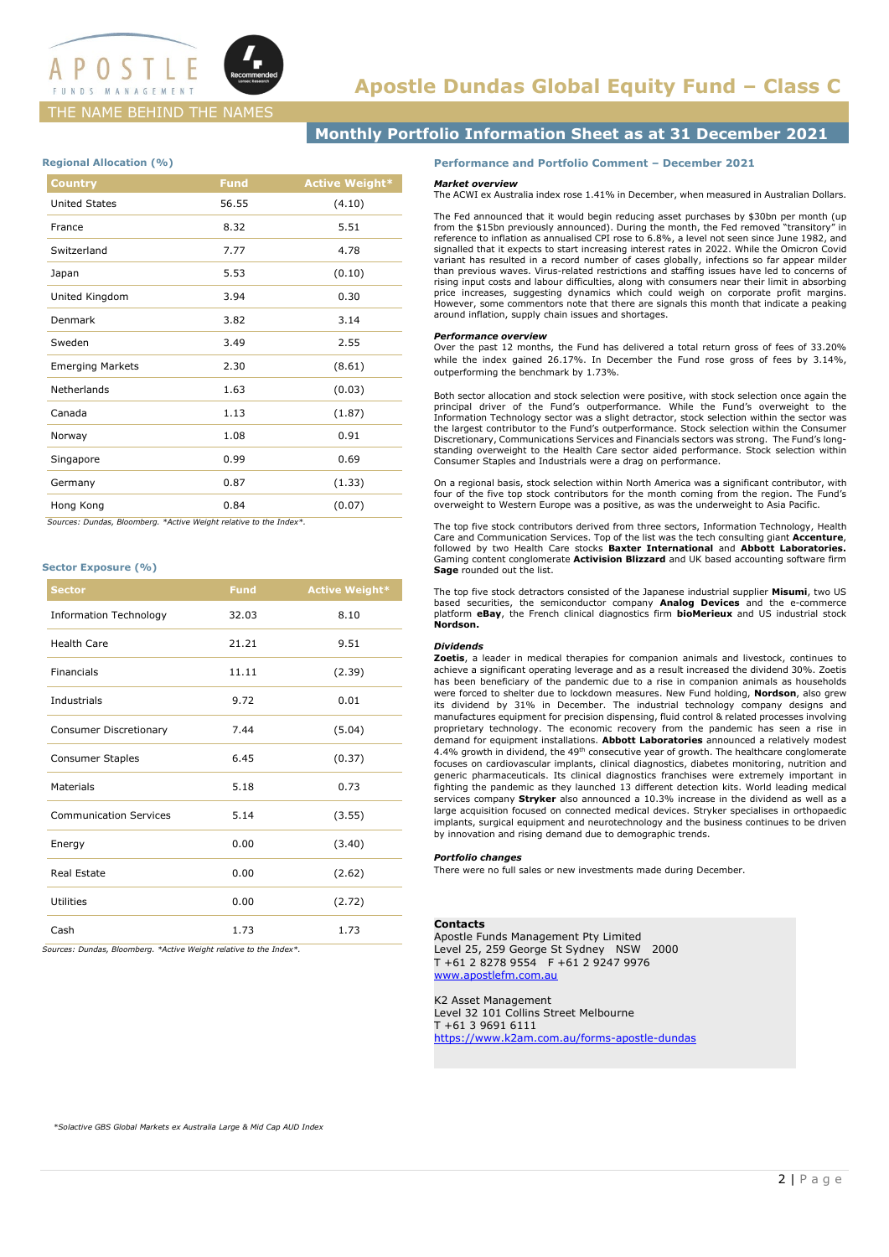

### THE NAME BEHIND THE NAMES

### **Monthly Portfolio Information Sheet as at 31 December 2021**

### **Regional Allocation (%)**

| <b>Country</b>          | <b>Fund</b> | <b>Active Weight*</b> |
|-------------------------|-------------|-----------------------|
| <b>United States</b>    | 56.55       | (4.10)                |
| France                  | 8.32        | 5.51                  |
| Switzerland             | 7.77        | 4.78                  |
| Japan                   | 5.53        | (0.10)                |
| United Kingdom          | 3.94        | 0.30                  |
| Denmark                 | 3.82        | 3.14                  |
| Sweden                  | 3.49        | 2.55                  |
| <b>Emerging Markets</b> | 2.30        | (8.61)                |
| Netherlands             | 1.63        | (0.03)                |
| Canada                  | 1.13        | (1.87)                |
| Norway                  | 1.08        | 0.91                  |
| Singapore               | 0.99        | 0.69                  |
| Germany                 | 0.87        | (1.33)                |
| Hong Kong               | 0.84        | (0.07)                |
|                         |             |                       |

 *Sources: Dundas, Bloomberg. \*Active Weight relative to the Index\*.*

### **Sector Exposure (%)**

| <b>Sector</b>                 | <b>Fund</b> | <b>Active Weight*</b> |
|-------------------------------|-------------|-----------------------|
| <b>Information Technology</b> | 32.03       | 8.10                  |
| <b>Health Care</b>            | 21.21       | 9.51                  |
| Financials                    | 11.11       | (2.39)                |
| Industrials                   | 9.72        | 0.01                  |
| Consumer Discretionary        | 7.44        | (5.04)                |
| <b>Consumer Staples</b>       | 6.45        | (0.37)                |
| Materials                     | 5.18        | 0.73                  |
| <b>Communication Services</b> | 5.14        | (3.55)                |
| Energy                        | 0.00        | (3.40)                |
| Real Estate                   | 0.00        | (2.62)                |
| <b>Utilities</b>              | 0.00        | (2.72)                |
| Cash                          | 1.73        | 1.73                  |

*Sources: Dundas, Bloomberg. \*Active Weight relative to the Index\*.*

### **Performance and Portfolio Comment – December 2021**

#### *Market overview*

The ACWI ex Australia index rose 1.41% in December, when measured in Australian Dollars.

The Fed announced that it would begin reducing asset purchases by \$30bn per month (up from the \$15bn previously announced). During the month, the Fed removed "transitory" in reference to inflation as annualised CPI rose to 6.8%, a level not seen since June 1982, and signalled that it expects to start increasing interest rates in 2022. While the Omicron Covid variant has resulted in a record number of cases globally, infections so far appear milder than previous waves. Virus-related restrictions and staffing issues have led to concerns of rising input costs and labour difficulties, along with consumers near their limit in absorbing price increases, suggesting dynamics which could weigh on corporate profit margins. However, some commentors note that there are signals this month that indicate a peaking around inflation, supply chain issues and shortages.

### *Performance overview*

Over the past 12 months, the Fund has delivered a total return gross of fees of 33.20% while the index gained 26.17%. In December the Fund rose gross of fees by 3.14%, outperforming the benchmark by 1.73%.

Both sector allocation and stock selection were positive, with stock selection once again the principal driver of the Fund's outperformance. While the Fund's overweight to the Information Technology sector was a slight detractor, stock selection within the sector was the largest contributor to the Fund's outperformance. Stock selection within the Consumer Discretionary, Communications Services and Financials sectors was strong. The Fund's longstanding overweight to the Health Care sector aided performance. Stock selection within Consumer Staples and Industrials were a drag on performance.

On a regional basis, stock selection within North America was a significant contributor, with four of the five top stock contributors for the month coming from the region. The Fund's overweight to Western Europe was a positive, as was the underweight to Asia Pacific.

The top five stock contributors derived from three sectors, Information Technology, Health Care and Communication Services. Top of the list was the tech consulting giant **Accenture**, followed by two Health Care stocks **Baxter International** and **Abbott Laboratories.** Gaming content conglomerate **Activision Blizzard** and UK based accounting software firm **Sage** rounded out the list.

The top five stock detractors consisted of the Japanese industrial supplier **Misumi**, two US based securities, the semiconductor company **Analog Devices** and the e-commerce platform **eBay**, the French clinical diagnostics firm **bioMerieux** and US industrial stock **Nordson.**

### *Dividends*

**Zoetis**, a leader in medical therapies for companion animals and livestock, continues to achieve a significant operating leverage and as a result increased the dividend 30%. Zoetis has been beneficiary of the pandemic due to a rise in companion animals as households were forced to shelter due to lockdown measures. New Fund holding, **Nordson**, also grew its dividend by 31% in December. The industrial technology company designs and manufactures equipment for precision dispensing, fluid control & related processes involving proprietary technology. The economic recovery from the pandemic has seen a rise in demand for equipment installations. **Abbott Laboratories** announced a relatively modest 4.4% growth in dividend, the 49<sup>th</sup> consecutive year of growth. The healthcare conglomerate<br>focuses on cardiovascular implants, clinical diagnostics, diabetes monitoring, nutrition and generic pharmaceuticals. Its clinical diagnostics franchises were extremely important in fighting the pandemic as they launched 13 different detection kits. World leading medical services company **Stryker** also announced a 10.3% increase in the dividend as well as a large acquisition focused on connected medical devices. Stryker specialises in orthopaedic implants, surgical equipment and neurotechnology and the business continues to be driven by innovation and rising demand due to demographic trends.

### *Portfolio changes*

There were no full sales or new investments made during December.

#### **Contacts**

Apostle Funds Management Pty Limited Level 25, 259 George St Sydney NSW 2000 T +61 2 8278 9554 F +61 2 9247 9976 [www.apostlefm.com.au](http://www.apostlefm.com.au/)

K2 Asset Management Level 32 101 Collins Street Melbourne T +61 3 9691 6111 <https://www.k2am.com.au/forms-apostle-dundas>